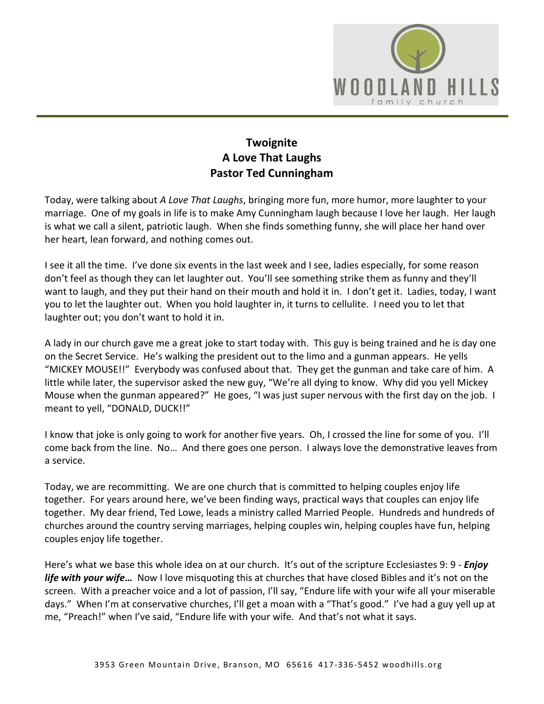

## **Twoignite A Love That Laughs Pastor Ted Cunningham**

Today, were talking about *A Love That Laughs*, bringing more fun, more humor, more laughter to your marriage. One of my goals in life is to make Amy Cunningham laugh because I love her laugh. Her laugh is what we call a silent, patriotic laugh. When she finds something funny, she will place her hand over her heart, lean forward, and nothing comes out.

I see it all the time. I've done six events in the last week and I see, ladies especially, for some reason don't feel as though they can let laughter out. You'll see something strike them as funny and they'll want to laugh, and they put their hand on their mouth and hold it in. I don't get it. Ladies, today, I want you to let the laughter out. When you hold laughter in, it turns to cellulite. I need you to let that laughter out; you don't want to hold it in.

A lady in our church gave me a great joke to start today with. This guy is being trained and he is day one on the Secret Service. He's walking the president out to the limo and a gunman appears. He yells "MICKEY MOUSE!!" Everybody was confused about that. They get the gunman and take care of him. A little while later, the supervisor asked the new guy, "We're all dying to know. Why did you yell Mickey Mouse when the gunman appeared?" He goes, "I was just super nervous with the first day on the job. I meant to yell, "DONALD, DUCK!!"

I know that joke is only going to work for another five years. Oh, I crossed the line for some of you. I'll come back from the line. No… And there goes one person. I always love the demonstrative leaves from a service.

Today, we are recommitting. We are one church that is committed to helping couples enjoy life together. For years around here, we've been finding ways, practical ways that couples can enjoy life together. My dear friend, Ted Lowe, leads a ministry called Married People. Hundreds and hundreds of churches around the country serving marriages, helping couples win, helping couples have fun, helping couples enjoy life together.

Here's what we base this whole idea on at our church. It's out of the scripture Ecclesiastes 9: 9 - *Enjoy life with your wife…* Now I love misquoting this at churches that have closed Bibles and it's not on the screen. With a preacher voice and a lot of passion, I'll say, "Endure life with your wife all your miserable days." When I'm at conservative churches, I'll get a moan with a "That's good." I've had a guy yell up at me, "Preach!" when I've said, "Endure life with your wife. And that's not what it says.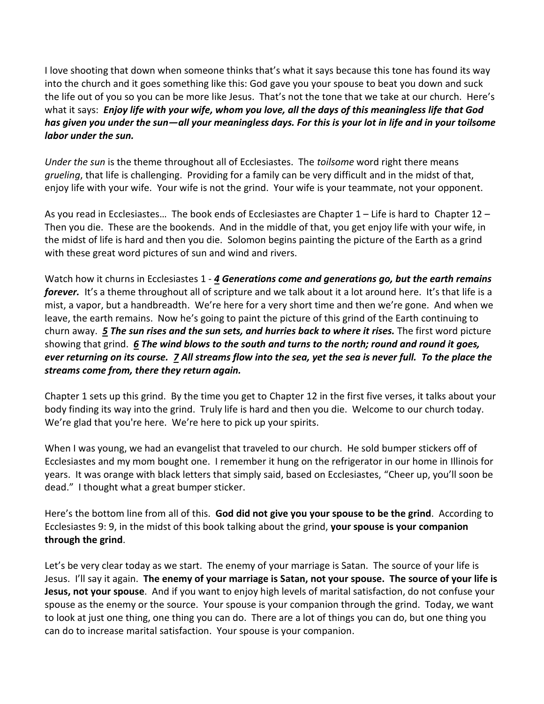I love shooting that down when someone thinks that's what it says because this tone has found its way into the church and it goes something like this: God gave you your spouse to beat you down and suck the life out of you so you can be more like Jesus. That's not the tone that we take at our church. Here's what it says: *Enjoy life with your wife, whom you love, all the days of this meaningless life that God has given you under the sun—all your meaningless days. For this is your lot in life and in your toilsome labor under the sun.*

*Under the sun* is the theme throughout all of Ecclesiastes. The *toilsome* word right there means *grueling*, that life is challenging. Providing for a family can be very difficult and in the midst of that, enjoy life with your wife. Your wife is not the grind. Your wife is your teammate, not your opponent.

As you read in Ecclesiastes… The book ends of Ecclesiastes are Chapter 1 – Life is hard to Chapter 12 – Then you die. These are the bookends. And in the middle of that, you get enjoy life with your wife, in the midst of life is hard and then you die. Solomon begins painting the picture of the Earth as a grind with these great word pictures of sun and wind and rivers.

Watch how it churns in Ecclesiastes 1 - *[4](https://www.studylight.org/desk/?q=ec%201:4&t1=en_niv&sr=1) Generations come and generations go, but the earth remains forever.* It's a theme throughout all of scripture and we talk about it a lot around here. It's that life is a mist, a vapor, but a handbreadth. We're here for a very short time and then we're gone. And when we leave, the earth remains. Now he's going to paint the picture of this grind of the Earth continuing to churn away. *[5](https://www.studylight.org/desk/?q=ec%201:5&t1=en_niv&sr=1) The sun rises and the sun sets, and hurries back to where it rises.* The first word picture showing that grind. *[6](https://www.studylight.org/desk/?q=ec%201:6&t1=en_niv&sr=1) The wind blows to the south and turns to the north; round and round it goes, ever returning on its course. [7](https://www.studylight.org/desk/?q=ec%201:7&t1=en_niv&sr=1) All streams flow into the sea, yet the sea is never full. To the place the streams come from, there they return again.*

Chapter 1 sets up this grind. By the time you get to Chapter 12 in the first five verses, it talks about your body finding its way into the grind. Truly life is hard and then you die. Welcome to our church today. We're glad that you're here. We're here to pick up your spirits.

When I was young, we had an evangelist that traveled to our church. He sold bumper stickers off of Ecclesiastes and my mom bought one. I remember it hung on the refrigerator in our home in Illinois for years. It was orange with black letters that simply said, based on Ecclesiastes, "Cheer up, you'll soon be dead." I thought what a great bumper sticker.

Here's the bottom line from all of this. **God did not give you your spouse to be the grind**. According to Ecclesiastes 9: 9, in the midst of this book talking about the grind, **your spouse is your companion through the grind**.

Let's be very clear today as we start. The enemy of your marriage is Satan. The source of your life is Jesus. I'll say it again. **The enemy of your marriage is Satan, not your spouse. The source of your life is Jesus, not your spouse**. And if you want to enjoy high levels of marital satisfaction, do not confuse your spouse as the enemy or the source. Your spouse is your companion through the grind. Today, we want to look at just one thing, one thing you can do. There are a lot of things you can do, but one thing you can do to increase marital satisfaction. Your spouse is your companion.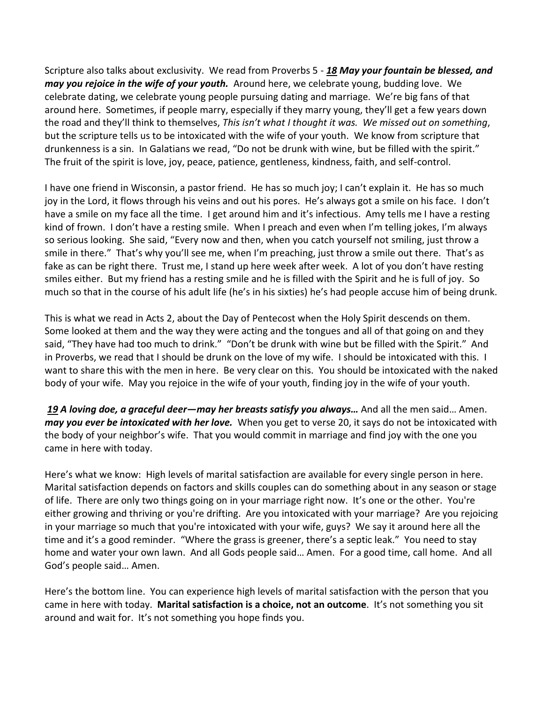Scripture also talks about exclusivity. We read from Proverbs 5 - *[18](https://www.studylight.org/desk/?q=pr%205:18&t1=en_niv&sr=1) May your fountain be blessed, and may you rejoice in the wife of your youth.* Around here, we celebrate young, budding love. We celebrate dating, we celebrate young people pursuing dating and marriage. We're big fans of that around here. Sometimes, if people marry, especially if they marry young, they'll get a few years down the road and they'll think to themselves, *This isn't what I thought it was. We missed out on something*, but the scripture tells us to be intoxicated with the wife of your youth. We know from scripture that drunkenness is a sin. In Galatians we read, "Do not be drunk with wine, but be filled with the spirit." The fruit of the spirit is love, joy, peace, patience, gentleness, kindness, faith, and self-control.

I have one friend in Wisconsin, a pastor friend. He has so much joy; I can't explain it. He has so much joy in the Lord, it flows through his veins and out his pores. He's always got a smile on his face. I don't have a smile on my face all the time. I get around him and it's infectious. Amy tells me I have a resting kind of frown. I don't have a resting smile. When I preach and even when I'm telling jokes, I'm always so serious looking. She said, "Every now and then, when you catch yourself not smiling, just throw a smile in there." That's why you'll see me, when I'm preaching, just throw a smile out there. That's as fake as can be right there. Trust me, I stand up here week after week. A lot of you don't have resting smiles either. But my friend has a resting smile and he is filled with the Spirit and he is full of joy. So much so that in the course of his adult life (he's in his sixties) he's had people accuse him of being drunk.

This is what we read in Acts 2, about the Day of Pentecost when the Holy Spirit descends on them. Some looked at them and the way they were acting and the tongues and all of that going on and they said, "They have had too much to drink." "Don't be drunk with wine but be filled with the Spirit." And in Proverbs, we read that I should be drunk on the love of my wife. I should be intoxicated with this. I want to share this with the men in here. Be very clear on this. You should be intoxicated with the naked body of your wife. May you rejoice in the wife of your youth, finding joy in the wife of your youth.

*[19](https://www.studylight.org/desk/?q=pr%205:19&t1=en_niv&sr=1) A loving doe, a graceful deer—may her breasts satisfy you always…* And all the men said… Amen. *may you ever be intoxicated with her love.* When you get to verse 20, it says do not be intoxicated with the body of your neighbor's wife. That you would commit in marriage and find joy with the one you came in here with today.

Here's what we know: High levels of marital satisfaction are available for every single person in here. Marital satisfaction depends on factors and skills couples can do something about in any season or stage of life. There are only two things going on in your marriage right now. It's one or the other. You're either growing and thriving or you're drifting. Are you intoxicated with your marriage? Are you rejoicing in your marriage so much that you're intoxicated with your wife, guys? We say it around here all the time and it's a good reminder. "Where the grass is greener, there's a septic leak." You need to stay home and water your own lawn. And all Gods people said… Amen. For a good time, call home. And all God's people said… Amen.

Here's the bottom line. You can experience high levels of marital satisfaction with the person that you came in here with today. **Marital satisfaction is a choice, not an outcome**. It's not something you sit around and wait for. It's not something you hope finds you.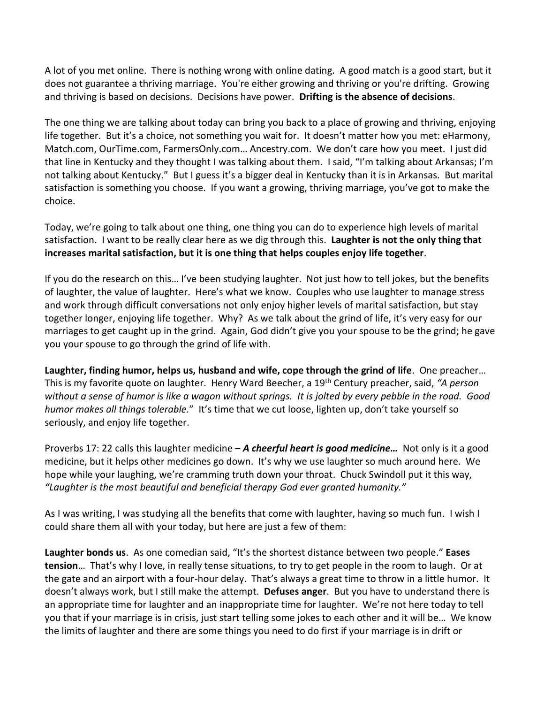A lot of you met online. There is nothing wrong with online dating. A good match is a good start, but it does not guarantee a thriving marriage. You're either growing and thriving or you're drifting. Growing and thriving is based on decisions. Decisions have power. **Drifting is the absence of decisions**.

The one thing we are talking about today can bring you back to a place of growing and thriving, enjoying life together. But it's a choice, not something you wait for. It doesn't matter how you met: eHarmony, Match.com, OurTime.com, FarmersOnly.com… Ancestry.com. We don't care how you meet. I just did that line in Kentucky and they thought I was talking about them. I said, "I'm talking about Arkansas; I'm not talking about Kentucky." But I guess it's a bigger deal in Kentucky than it is in Arkansas. But marital satisfaction is something you choose. If you want a growing, thriving marriage, you've got to make the choice.

Today, we're going to talk about one thing, one thing you can do to experience high levels of marital satisfaction. I want to be really clear here as we dig through this. **Laughter is not the only thing that increases marital satisfaction, but it is one thing that helps couples enjoy life together**.

If you do the research on this… I've been studying laughter. Not just how to tell jokes, but the benefits of laughter, the value of laughter. Here's what we know. Couples who use laughter to manage stress and work through difficult conversations not only enjoy higher levels of marital satisfaction, but stay together longer, enjoying life together. Why? As we talk about the grind of life, it's very easy for our marriages to get caught up in the grind. Again, God didn't give you your spouse to be the grind; he gave you your spouse to go through the grind of life with.

**Laughter, finding humor, helps us, husband and wife, cope through the grind of life**. One preacher… This is my favorite quote on laughter. Henry Ward Beecher, a 19th Century preacher, said, *"A person without a sense of humor is like a wagon without springs. It is jolted by every pebble in the road. Good humor makes all things tolerable.*" It's time that we cut loose, lighten up, don't take yourself so seriously, and enjoy life together.

Proverbs 17: 22 calls this laughter medicine – *A cheerful heart is good medicine…* Not only is it a good medicine, but it helps other medicines go down. It's why we use laughter so much around here. We hope while your laughing, we're cramming truth down your throat. Chuck Swindoll put it this way, *"Laughter is the most beautiful and beneficial therapy God ever granted humanity."*

As I was writing, I was studying all the benefits that come with laughter, having so much fun. I wish I could share them all with your today, but here are just a few of them:

**Laughter bonds us**. As one comedian said, "It's the shortest distance between two people." **Eases tension**… That's why I love, in really tense situations, to try to get people in the room to laugh. Or at the gate and an airport with a four-hour delay. That's always a great time to throw in a little humor. It doesn't always work, but I still make the attempt. **Defuses anger**. But you have to understand there is an appropriate time for laughter and an inappropriate time for laughter. We're not here today to tell you that if your marriage is in crisis, just start telling some jokes to each other and it will be… We know the limits of laughter and there are some things you need to do first if your marriage is in drift or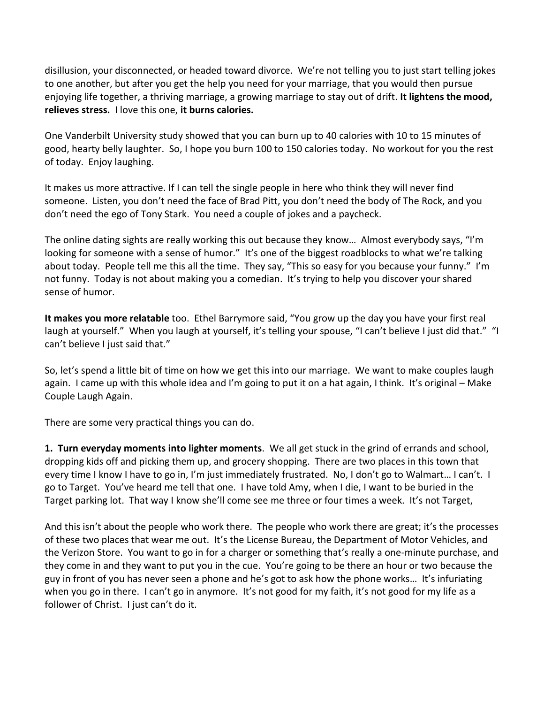disillusion, your disconnected, or headed toward divorce. We're not telling you to just start telling jokes to one another, but after you get the help you need for your marriage, that you would then pursue enjoying life together, a thriving marriage, a growing marriage to stay out of drift. **It lightens the mood, relieves stress.** I love this one, **it burns calories.** 

One Vanderbilt University study showed that you can burn up to 40 calories with 10 to 15 minutes of good, hearty belly laughter. So, I hope you burn 100 to 150 calories today. No workout for you the rest of today. Enjoy laughing.

It makes us more attractive. If I can tell the single people in here who think they will never find someone. Listen, you don't need the face of Brad Pitt, you don't need the body of The Rock, and you don't need the ego of Tony Stark. You need a couple of jokes and a paycheck.

The online dating sights are really working this out because they know… Almost everybody says, "I'm looking for someone with a sense of humor." It's one of the biggest roadblocks to what we're talking about today. People tell me this all the time. They say, "This so easy for you because your funny." I'm not funny. Today is not about making you a comedian. It's trying to help you discover your shared sense of humor.

**It makes you more relatable** too. Ethel Barrymore said, "You grow up the day you have your first real laugh at yourself." When you laugh at yourself, it's telling your spouse, "I can't believe I just did that." "I can't believe I just said that."

So, let's spend a little bit of time on how we get this into our marriage. We want to make couples laugh again. I came up with this whole idea and I'm going to put it on a hat again, I think. It's original – Make Couple Laugh Again.

There are some very practical things you can do.

**1. Turn everyday moments into lighter moments**. We all get stuck in the grind of errands and school, dropping kids off and picking them up, and grocery shopping. There are two places in this town that every time I know I have to go in, I'm just immediately frustrated. No, I don't go to Walmart… I can't. I go to Target. You've heard me tell that one. I have told Amy, when I die, I want to be buried in the Target parking lot. That way I know she'll come see me three or four times a week. It's not Target,

And this isn't about the people who work there. The people who work there are great; it's the processes of these two places that wear me out. It's the License Bureau, the Department of Motor Vehicles, and the Verizon Store. You want to go in for a charger or something that's really a one-minute purchase, and they come in and they want to put you in the cue. You're going to be there an hour or two because the guy in front of you has never seen a phone and he's got to ask how the phone works… It's infuriating when you go in there. I can't go in anymore. It's not good for my faith, it's not good for my life as a follower of Christ. I just can't do it.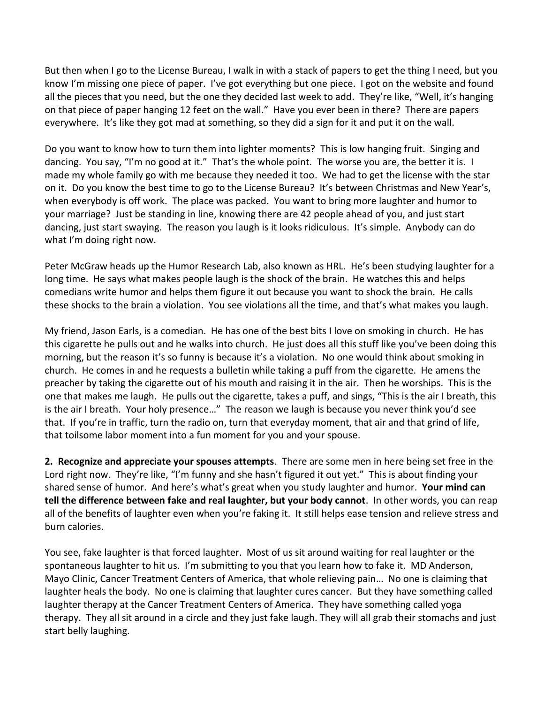But then when I go to the License Bureau, I walk in with a stack of papers to get the thing I need, but you know I'm missing one piece of paper. I've got everything but one piece. I got on the website and found all the pieces that you need, but the one they decided last week to add. They're like, "Well, it's hanging on that piece of paper hanging 12 feet on the wall." Have you ever been in there? There are papers everywhere. It's like they got mad at something, so they did a sign for it and put it on the wall.

Do you want to know how to turn them into lighter moments? This is low hanging fruit. Singing and dancing. You say, "I'm no good at it." That's the whole point. The worse you are, the better it is. I made my whole family go with me because they needed it too. We had to get the license with the star on it. Do you know the best time to go to the License Bureau? It's between Christmas and New Year's, when everybody is off work. The place was packed. You want to bring more laughter and humor to your marriage? Just be standing in line, knowing there are 42 people ahead of you, and just start dancing, just start swaying. The reason you laugh is it looks ridiculous. It's simple. Anybody can do what I'm doing right now.

Peter McGraw heads up the Humor Research Lab, also known as HRL. He's been studying laughter for a long time. He says what makes people laugh is the shock of the brain. He watches this and helps comedians write humor and helps them figure it out because you want to shock the brain. He calls these shocks to the brain a violation. You see violations all the time, and that's what makes you laugh.

My friend, Jason Earls, is a comedian. He has one of the best bits I love on smoking in church. He has this cigarette he pulls out and he walks into church. He just does all this stuff like you've been doing this morning, but the reason it's so funny is because it's a violation. No one would think about smoking in church. He comes in and he requests a bulletin while taking a puff from the cigarette. He amens the preacher by taking the cigarette out of his mouth and raising it in the air. Then he worships. This is the one that makes me laugh. He pulls out the cigarette, takes a puff, and sings, "This is the air I breath, this is the air I breath. Your holy presence…" The reason we laugh is because you never think you'd see that. If you're in traffic, turn the radio on, turn that everyday moment, that air and that grind of life, that toilsome labor moment into a fun moment for you and your spouse.

**2. Recognize and appreciate your spouses attempts**. There are some men in here being set free in the Lord right now. They're like, "I'm funny and she hasn't figured it out yet." This is about finding your shared sense of humor. And here's what's great when you study laughter and humor. **Your mind can tell the difference between fake and real laughter, but your body cannot**. In other words, you can reap all of the benefits of laughter even when you're faking it. It still helps ease tension and relieve stress and burn calories.

You see, fake laughter is that forced laughter. Most of us sit around waiting for real laughter or the spontaneous laughter to hit us. I'm submitting to you that you learn how to fake it. MD Anderson, Mayo Clinic, Cancer Treatment Centers of America, that whole relieving pain… No one is claiming that laughter heals the body. No one is claiming that laughter cures cancer. But they have something called laughter therapy at the Cancer Treatment Centers of America. They have something called yoga therapy. They all sit around in a circle and they just fake laugh. They will all grab their stomachs and just start belly laughing.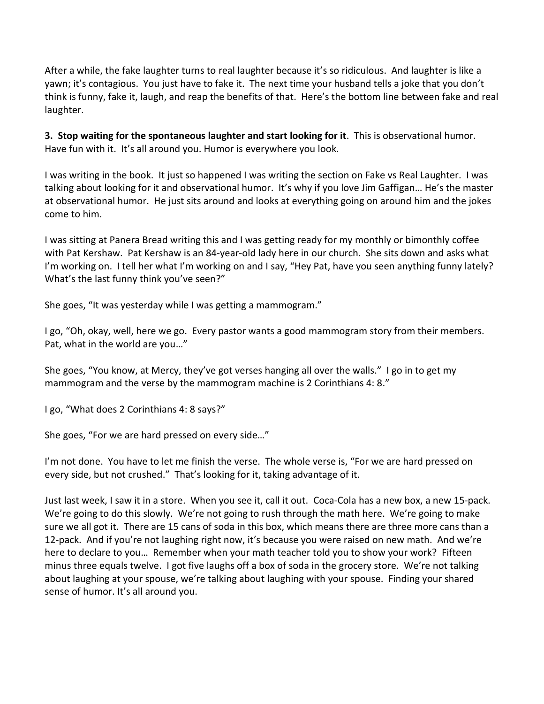After a while, the fake laughter turns to real laughter because it's so ridiculous. And laughter is like a yawn; it's contagious. You just have to fake it. The next time your husband tells a joke that you don't think is funny, fake it, laugh, and reap the benefits of that. Here's the bottom line between fake and real laughter.

**3. Stop waiting for the spontaneous laughter and start looking for it**. This is observational humor. Have fun with it. It's all around you. Humor is everywhere you look.

I was writing in the book. It just so happened I was writing the section on Fake vs Real Laughter. I was talking about looking for it and observational humor. It's why if you love Jim Gaffigan… He's the master at observational humor. He just sits around and looks at everything going on around him and the jokes come to him.

I was sitting at Panera Bread writing this and I was getting ready for my monthly or bimonthly coffee with Pat Kershaw. Pat Kershaw is an 84-year-old lady here in our church. She sits down and asks what I'm working on. I tell her what I'm working on and I say, "Hey Pat, have you seen anything funny lately? What's the last funny think you've seen?"

She goes, "It was yesterday while I was getting a mammogram."

I go, "Oh, okay, well, here we go. Every pastor wants a good mammogram story from their members. Pat, what in the world are you…"

She goes, "You know, at Mercy, they've got verses hanging all over the walls." I go in to get my mammogram and the verse by the mammogram machine is 2 Corinthians 4: 8."

I go, "What does 2 Corinthians 4: 8 says?"

She goes, "For we are hard pressed on every side…"

I'm not done. You have to let me finish the verse. The whole verse is, "For we are hard pressed on every side, but not crushed." That's looking for it, taking advantage of it.

Just last week, I saw it in a store. When you see it, call it out. Coca-Cola has a new box, a new 15-pack. We're going to do this slowly. We're not going to rush through the math here. We're going to make sure we all got it. There are 15 cans of soda in this box, which means there are three more cans than a 12-pack. And if you're not laughing right now, it's because you were raised on new math. And we're here to declare to you… Remember when your math teacher told you to show your work? Fifteen minus three equals twelve. I got five laughs off a box of soda in the grocery store. We're not talking about laughing at your spouse, we're talking about laughing with your spouse. Finding your shared sense of humor. It's all around you.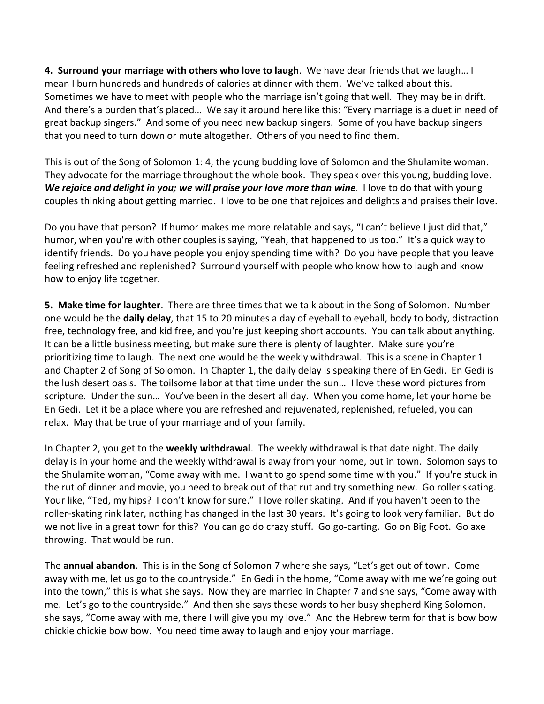**4. Surround your marriage with others who love to laugh**. We have dear friends that we laugh… I mean I burn hundreds and hundreds of calories at dinner with them. We've talked about this. Sometimes we have to meet with people who the marriage isn't going that well. They may be in drift. And there's a burden that's placed… We say it around here like this: "Every marriage is a duet in need of great backup singers." And some of you need new backup singers. Some of you have backup singers that you need to turn down or mute altogether. Others of you need to find them.

This is out of the Song of Solomon 1: 4, the young budding love of Solomon and the Shulamite woman. They advocate for the marriage throughout the whole book. They speak over this young, budding love. *We rejoice and delight in you; we will praise your love more than wine*. I love to do that with young couples thinking about getting married. I love to be one that rejoices and delights and praises their love.

Do you have that person? If humor makes me more relatable and says, "I can't believe I just did that," humor, when you're with other couples is saying, "Yeah, that happened to us too." It's a quick way to identify friends. Do you have people you enjoy spending time with? Do you have people that you leave feeling refreshed and replenished? Surround yourself with people who know how to laugh and know how to enjoy life together.

**5. Make time for laughter**. There are three times that we talk about in the Song of Solomon. Number one would be the **daily delay**, that 15 to 20 minutes a day of eyeball to eyeball, body to body, distraction free, technology free, and kid free, and you're just keeping short accounts. You can talk about anything. It can be a little business meeting, but make sure there is plenty of laughter. Make sure you're prioritizing time to laugh. The next one would be the weekly withdrawal. This is a scene in Chapter 1 and Chapter 2 of Song of Solomon. In Chapter 1, the daily delay is speaking there of En Gedi. En Gedi is the lush desert oasis. The toilsome labor at that time under the sun… I love these word pictures from scripture. Under the sun… You've been in the desert all day. When you come home, let your home be En Gedi. Let it be a place where you are refreshed and rejuvenated, replenished, refueled, you can relax. May that be true of your marriage and of your family.

In Chapter 2, you get to the **weekly withdrawal**. The weekly withdrawal is that date night. The daily delay is in your home and the weekly withdrawal is away from your home, but in town. Solomon says to the Shulamite woman, "Come away with me. I want to go spend some time with you." If you're stuck in the rut of dinner and movie, you need to break out of that rut and try something new. Go roller skating. Your like, "Ted, my hips? I don't know for sure." I love roller skating. And if you haven't been to the roller-skating rink later, nothing has changed in the last 30 years. It's going to look very familiar. But do we not live in a great town for this? You can go do crazy stuff. Go go-carting. Go on Big Foot. Go axe throwing. That would be run.

The **annual abandon**. This is in the Song of Solomon 7 where she says, "Let's get out of town. Come away with me, let us go to the countryside." En Gedi in the home, "Come away with me we're going out into the town," this is what she says. Now they are married in Chapter 7 and she says, "Come away with me. Let's go to the countryside." And then she says these words to her busy shepherd King Solomon, she says, "Come away with me, there I will give you my love." And the Hebrew term for that is bow bow chickie chickie bow bow. You need time away to laugh and enjoy your marriage.